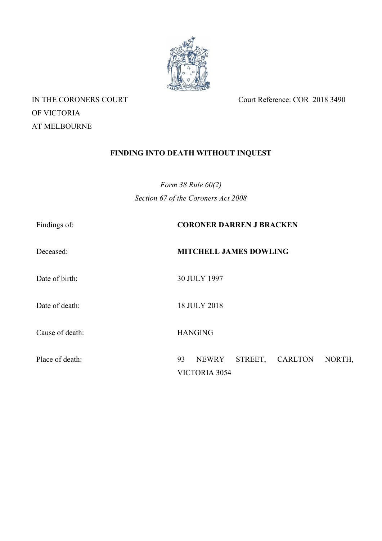

OF VICTORIA AT MELBOURNE

IN THE CORONERS COURT Court Reference: COR 2018 3490

# **FINDING INTO DEATH WITHOUT INQUEST**

*Form 38 Rule 60(2) Section 67 of the Coroners Act 2008*

| Findings of:    | <b>CORONER DARREN J BRACKEN</b>                           |
|-----------------|-----------------------------------------------------------|
| Deceased:       | <b>MITCHELL JAMES DOWLING</b>                             |
| Date of birth:  | 30 JULY 1997                                              |
| Date of death:  | 18 JULY 2018                                              |
| Cause of death: | <b>HANGING</b>                                            |
| Place of death: | STREET, CARLTON<br>93<br>NEWRY<br>NORTH,<br>VICTORIA 3054 |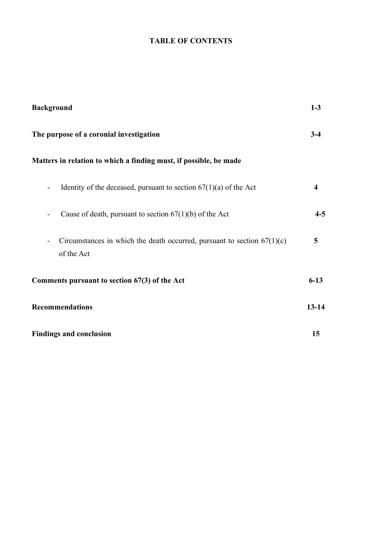## **TABLE OF CONTENTS**

| <b>Background</b><br>The purpose of a coronial investigation                                                        |           |
|---------------------------------------------------------------------------------------------------------------------|-----------|
|                                                                                                                     |           |
| Identity of the deceased, pursuant to section $67(1)(a)$ of the Act<br>$\overline{\phantom{a}}$                     | 4         |
| Cause of death, pursuant to section $67(1)(b)$ of the Act<br>-                                                      | $4 - 5$   |
| Circumstances in which the death occurred, pursuant to section $67(1)(c)$<br>$\overline{\phantom{a}}$<br>of the Act | 5         |
| Comments pursuant to section 67(3) of the Act                                                                       | $6 - 13$  |
| <b>Recommendations</b>                                                                                              | $13 - 14$ |
| <b>Findings and conclusion</b>                                                                                      | 15        |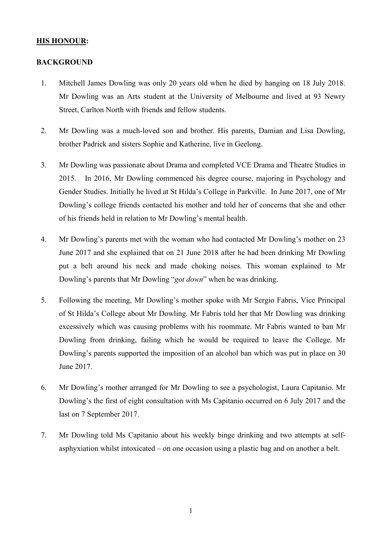## **HIS HONOUR:**

### **BACKGROUND**

- 1. Mitchell James Dowling was only 20 years old when he died by hanging on 18 July 2018. Mr Dowling was an Arts student at the University of Melbourne and lived at 93 Newry Street, Carlton North with friends and fellow students.
- 2. Mr Dowling was a much-loved son and brother. His parents, Damian and Lisa Dowling, brother Padrick and sisters Sophie and Katherine, live in Geelong.
- 3. Mr Dowling was passionate about Drama and completed VCE Drama and Theatre Studies in 2015. In 2016, Mr Dowling commenced his degree course, majoring in Psychology and Gender Studies. Initially he lived at St Hilda's College in Parkville. In June 2017, one of Mr Dowling's college friends contacted his mother and told her of concerns that she and other of his friends held in relation to Mr Dowling's mental health.
- 4. Mr Dowling's parents met with the woman who had contacted Mr Dowling's mother on 23 June 2017 and she explained that on 21 June 2018 after he had been drinking Mr Dowling put a belt around his neck and made choking noises. This woman explained to Mr Dowling's parents that Mr Dowling "*got down*" when he was drinking.
- 5. Following the meeting, Mr Dowling's mother spoke with Mr Sergio Fabris, Vice Principal of St Hilda's College about Mr Dowling. Mr Fabris told her that Mr Dowling was drinking excessively which was causing problems with his roommate. Mr Fabris wanted to ban Mr Dowling from drinking, failing which he would be required to leave the College. Mr Dowling's parents supported the imposition of an alcohol ban which was put in place on 30 June 2017.
- 6. Mr Dowling's mother arranged for Mr Dowling to see a psychologist, Laura Capitanio. Mr Dowling's the first of eight consultation with Ms Capitanio occurred on 6 July 2017 and the last on 7 September 2017.
- 7. Mr Dowling told Ms Capitanio about his weekly binge drinking and two attempts at selfasphyxiation whilst intoxicated – on one occasion using a plastic bag and on another a belt.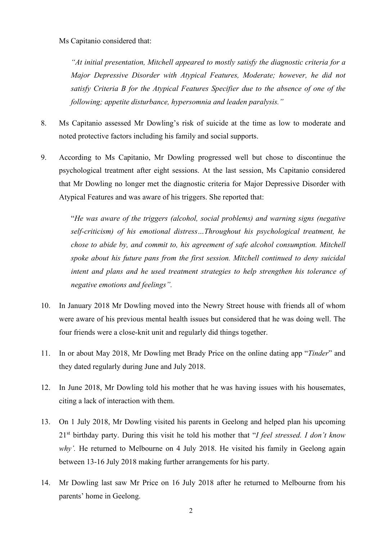## Ms Capitanio considered that:

*"At initial presentation, Mitchell appeared to mostly satisfy the diagnostic criteria for a Major Depressive Disorder with Atypical Features, Moderate; however, he did not satisfy Criteria B for the Atypical Features Specifier due to the absence of one of the following; appetite disturbance, hypersomnia and leaden paralysis."*

- 8. Ms Capitanio assessed Mr Dowling's risk of suicide at the time as low to moderate and noted protective factors including his family and social supports.
- 9. According to Ms Capitanio, Mr Dowling progressed well but chose to discontinue the psychological treatment after eight sessions. At the last session, Ms Capitanio considered that Mr Dowling no longer met the diagnostic criteria for Major Depressive Disorder with Atypical Features and was aware of his triggers. She reported that:

"*He was aware of the triggers (alcohol, social problems) and warning signs (negative self-criticism) of his emotional distress…Throughout his psychological treatment, he chose to abide by, and commit to, his agreement of safe alcohol consumption. Mitchell spoke about his future pans from the first session. Mitchell continued to deny suicidal intent and plans and he used treatment strategies to help strengthen his tolerance of negative emotions and feelings".* 

- 10. In January 2018 Mr Dowling moved into the Newry Street house with friends all of whom were aware of his previous mental health issues but considered that he was doing well. The four friends were a close-knit unit and regularly did things together.
- 11. In or about May 2018, Mr Dowling met Brady Price on the online dating app "*Tinder*" and they dated regularly during June and July 2018.
- 12. In June 2018, Mr Dowling told his mother that he was having issues with his housemates, citing a lack of interaction with them.
- 13. On 1 July 2018, Mr Dowling visited his parents in Geelong and helped plan his upcoming 21st birthday party. During this visit he told his mother that "*I feel stressed. I don't know*  why'. He returned to Melbourne on 4 July 2018. He visited his family in Geelong again between 13-16 July 2018 making further arrangements for his party.
- 14. Mr Dowling last saw Mr Price on 16 July 2018 after he returned to Melbourne from his parents' home in Geelong.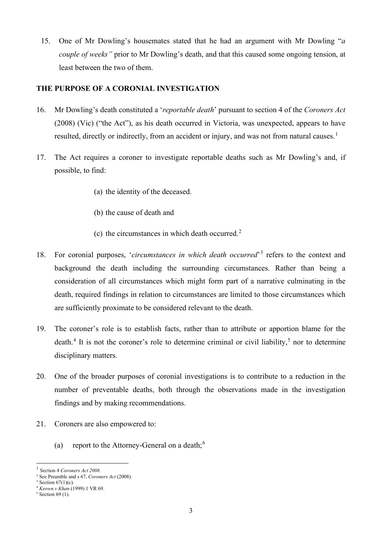15. One of Mr Dowling's housemates stated that he had an argument with Mr Dowling "*a couple of weeks"* prior to Mr Dowling's death, and that this caused some ongoing tension, at least between the two of them.

## **THE PURPOSE OF A CORONIAL INVESTIGATION**

- 16. Mr Dowling's death constituted a '*reportable death*' pursuant to section 4 of the *Coroners Act* (2008) (Vic) ("the Act"), as his death occurred in Victoria, was unexpected, appears to have resulted, directly or indirectly, from an accident or injury, and was not from natural causes.<sup>[1](#page-4-0)</sup>
- 17. The Act requires a coroner to investigate reportable deaths such as Mr Dowling's and, if possible, to find:
	- (a) the identity of the deceased.
	- (b) the cause of death and
	- (c) the circumstances in which death occurred.<sup>[2](#page-4-1)</sup>
- 18. For coronial purposes, '*circumstances in which death occurred*'[3](#page-4-2) refers to the context and background the death including the surrounding circumstances. Rather than being a consideration of all circumstances which might form part of a narrative culminating in the death, required findings in relation to circumstances are limited to those circumstances which are sufficiently proximate to be considered relevant to the death.
- 19. The coroner's role is to establish facts, rather than to attribute or apportion blame for the death.<sup>[4](#page-4-3)</sup> It is not the coroner's role to determine criminal or civil liability,<sup>[5](#page-4-4)</sup> nor to determine disciplinary matters.
- 20. One of the broader purposes of coronial investigations is to contribute to a reduction in the number of preventable deaths, both through the observations made in the investigation findings and by making recommendations.
- <span id="page-4-5"></span>21. Coroners are also empowered to:
	- (a) report to the Attorney-General on a death;  $6\frac{1}{2}$  $6\frac{1}{2}$

<span id="page-4-0"></span>Section 4 Coroners Act 2008.

<span id="page-4-1"></span><sup>2</sup> See Preamble and s 67, *Coroners Act* (2008).

 $3$  Section  $67(1)(c)$ .

<span id="page-4-3"></span><span id="page-4-2"></span><sup>4</sup> *Keown v Khan* (1999) 1 VR 69.

<span id="page-4-4"></span> $5$  Section 69 (1).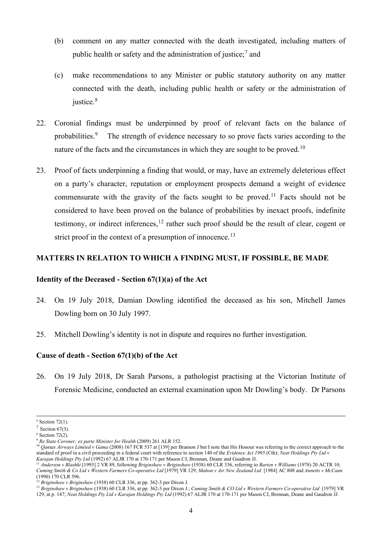- (b) comment on any matter connected with the death investigated, including matters of public health or safety and the administration of justice;<sup>[7](#page-5-0)</sup> and
- (c) make recommendations to any Minister or public statutory authority on any matter connected with the death, including public health or safety or the administration of justice.<sup>[8](#page-5-1)</sup>
- 22. Coronial findings must be underpinned by proof of relevant facts on the balance of probabilities.[9](#page-5-2) The strength of evidence necessary to so prove facts varies according to the nature of the facts and the circumstances in which they are sought to be proved.<sup>10</sup>
- 23. Proof of facts underpinning a finding that would, or may, have an extremely deleterious effect on a party's character, reputation or employment prospects demand a weight of evidence commensurate with the gravity of the facts sought to be proved.<sup>[11](#page-5-4)</sup> Facts should not be considered to have been proved on the balance of probabilities by inexact proofs, indefinite testimony, or indirect inferences,  $12$  rather such proof should be the result of clear, cogent or strict proof in the context of a presumption of innocence.<sup>[13](#page-5-6)</sup>

### **MATTERS IN RELATION TO WHICH A FINDING MUST, IF POSSIBLE, BE MADE**

#### **Identity of the Deceased - Section 67(1)(a) of the Act**

- 24. On 19 July 2018, Damian Dowling identified the deceased as his son, Mitchell James Dowling born on 30 July 1997.
- 25. Mitchell Dowling's identity is not in dispute and requires no further investigation.

## **Cause of death - Section 67(1)(b) of the Act**

26. On 19 July 2018, Dr Sarah Parsons, a pathologist practising at the Victorian Institute of Forensic Medicine, conducted an external examination upon Mr Dowling's body. Dr Parsons

 $6$  Section 72(1).

<span id="page-5-0"></span> $7$  Section 67(3).

<span id="page-5-1"></span><sup>8</sup> Section 72(2).

<span id="page-5-2"></span><sup>9</sup> *Re State Coroner; ex parte Minister for Health* (2009) 261 ALR 152.

<span id="page-5-3"></span><sup>&</sup>lt;sup>10</sup> *Qantas Airways Limited v Gama* (2008) 167 FCR 537 at [139] per Branson J but I note that His Honour was referring to the correct approach to the standard of proof in a civil proceeding in a federal court with reference to section 140 of the *Evidence Act 1995* (Cth); *Neat Holdings Pty Ltd v Karajan Holdings Pty Ltd* (1992) 67 ALJR 170 at 170-171 per Mason CJ, Brennan, Deane and Gaudron JJ.

<span id="page-5-4"></span><sup>11</sup> *Anderson v Blashki* [1993] 2 VR 89, following *Briginshaw v Briginshaw* (1938) 60 CLR 336, referring to *Barten v Williams* (1978) 20 ACTR 10; *Cuming Smith & Co Ltd v Western Farmers Co-operative Ltd* [1979] VR 129; *Mahon v Air New Zealand Ltd* [1984] AC 808 and *Annetts v McCann*  (1990) 170 CLR 596.

<sup>12</sup> *Briginshaw v Briginshaw* (1938) 60 CLR 336, at pp. 362-3 per Dixon J.

<span id="page-5-6"></span><span id="page-5-5"></span><sup>&</sup>lt;sup>13</sup> Briginshaw v Briginshaw (1938) 60 CLR 336, at pp. 362-3 per Dixon J.; *Cuming Smith & CO Ltd v Western Farmers Co-operative Ltd* [1979] VR 129, at p. 147; *Neat Holdings Pty Ltd v Karajan Holdings Pty Ltd* (1992) 67 ALJR 170 at 170-171 per Mason CJ, Brennan, Deane and Gaudron JJ.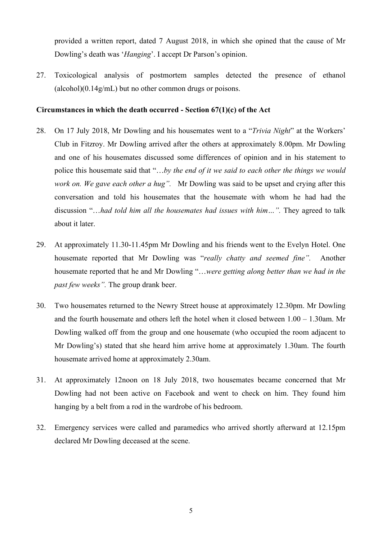provided a written report, dated 7 August 2018, in which she opined that the cause of Mr Dowling's death was '*Hanging*'. I accept Dr Parson's opinion.

27. Toxicological analysis of postmortem samples detected the presence of ethanol  $(a<sub>l</sub>co<sub>h</sub>)(0.14g<sub>m</sub>L)$  but no other common drugs or poisons.

#### **Circumstances in which the death occurred - Section 67(1)(c) of the Act**

- 28. On 17 July 2018, Mr Dowling and his housemates went to a "*Trivia Night*" at the Workers' Club in Fitzroy. Mr Dowling arrived after the others at approximately 8.00pm. Mr Dowling and one of his housemates discussed some differences of opinion and in his statement to police this housemate said that "…*by the end of it we said to each other the things we would work on. We gave each other a hug".* Mr Dowling was said to be upset and crying after this conversation and told his housemates that the housemate with whom he had had the discussion "…*had told him all the housemates had issues with him…".* They agreed to talk about it later.
- 29. At approximately 11.30-11.45pm Mr Dowling and his friends went to the Evelyn Hotel. One housemate reported that Mr Dowling was "*really chatty and seemed fine".* Another housemate reported that he and Mr Dowling "…*were getting along better than we had in the past few weeks".* The group drank beer.
- 30. Two housemates returned to the Newry Street house at approximately 12.30pm. Mr Dowling and the fourth housemate and others left the hotel when it closed between 1.00 – 1.30am. Mr Dowling walked off from the group and one housemate (who occupied the room adjacent to Mr Dowling's) stated that she heard him arrive home at approximately 1.30am. The fourth housemate arrived home at approximately 2.30am.
- 31. At approximately 12noon on 18 July 2018, two housemates became concerned that Mr Dowling had not been active on Facebook and went to check on him. They found him hanging by a belt from a rod in the wardrobe of his bedroom.
- 32. Emergency services were called and paramedics who arrived shortly afterward at 12.15pm declared Mr Dowling deceased at the scene.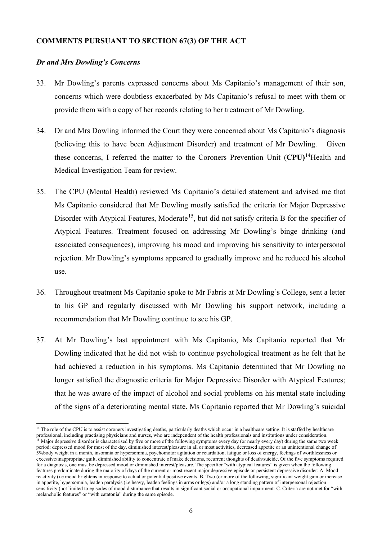#### **COMMENTS PURSUANT TO SECTION 67(3) OF THE ACT**

#### *Dr and Mrs Dowling's Concerns*

- 33. Mr Dowling's parents expressed concerns about Ms Capitanio's management of their son, concerns which were doubtless exacerbated by Ms Capitanio's refusal to meet with them or provide them with a copy of her records relating to her treatment of Mr Dowling.
- 34. Dr and Mrs Dowling informed the Court they were concerned about Ms Capitanio's diagnosis (believing this to have been Adjustment Disorder) and treatment of Mr Dowling. Given these concerns, I referred the matter to the Coroners Prevention Unit (**CPU)**[14](#page-7-0)Health and Medical Investigation Team for review.
- 35. The CPU (Mental Health) reviewed Ms Capitanio's detailed statement and advised me that Ms Capitanio considered that Mr Dowling mostly satisfied the criteria for Major Depressive Disorder with Atypical Features, Moderate<sup>15</sup>, but did not satisfy criteria B for the specifier of Atypical Features. Treatment focused on addressing Mr Dowling's binge drinking (and associated consequences), improving his mood and improving his sensitivity to interpersonal rejection. Mr Dowling's symptoms appeared to gradually improve and he reduced his alcohol use.
- 36. Throughout treatment Ms Capitanio spoke to Mr Fabris at Mr Dowling's College, sent a letter to his GP and regularly discussed with Mr Dowling his support network, including a recommendation that Mr Dowling continue to see his GP.
- 37. At Mr Dowling's last appointment with Ms Capitanio, Ms Capitanio reported that Mr Dowling indicated that he did not wish to continue psychological treatment as he felt that he had achieved a reduction in his symptoms. Ms Capitanio determined that Mr Dowling no longer satisfied the diagnostic criteria for Major Depressive Disorder with Atypical Features; that he was aware of the impact of alcohol and social problems on his mental state including of the signs of a deteriorating mental state. Ms Capitanio reported that Mr Dowling's suicidal

<span id="page-7-1"></span><span id="page-7-0"></span><sup>&</sup>lt;sup>14</sup> The role of the CPU is to assist coroners investigating deaths, particularly deaths which occur in a healthcare setting. It is staffed by healthcare professional, including practising physicians and nurses, who are independent of the health professionals and institutions under consideration. <sup>15</sup> Major depressive disorder is characterised by five or more of the following symptoms every day (or nearly every day) during the same two week period: depressed mood for most of the day, diminished interest/pleasure in all or most activities, decreased appetite or an unintentional change of 5%body weight in a month, insomnia or hypersomnia, psychomotor agitation or retardation, fatigue or loss of energy, feelings of worthlessness or excessive/inappropriate guilt, diminished ability to concentrate of make decisions, recurrent thoughts of death/suicide. Of the five symptoms required for a diagnosis, one must be depressed mood or diminished interest/pleasure. The specifier "with atypical features" is given when the following features predominate during the majority of days of the current or most recent major depressive episode or persistent depressive disorder: A. Mood reactivity (i.e mood brightens in response to actual or potential positive events. B. Two (or more of the following; significant weight gain or increase in appetite, hypersomnia, leaden paralysis (i.e heavy, leaden feelings in arms or legs) and/or a long standing pattern of interpersonal rejection sensitivity (not limited to episodes of mood disturbance that results in significant social or occupational impairment: C. Criteria are not met for "with melancholic features" or "with catatonia" during the same episode.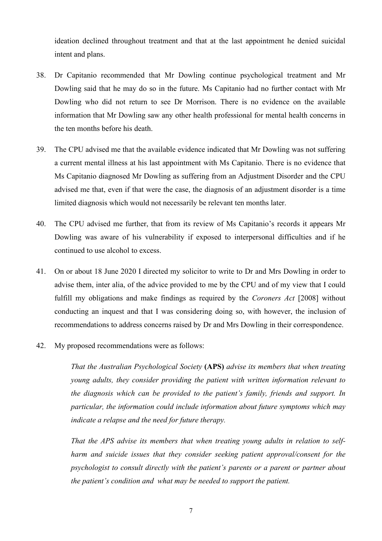ideation declined throughout treatment and that at the last appointment he denied suicidal intent and plans.

- 38. Dr Capitanio recommended that Mr Dowling continue psychological treatment and Mr Dowling said that he may do so in the future. Ms Capitanio had no further contact with Mr Dowling who did not return to see Dr Morrison. There is no evidence on the available information that Mr Dowling saw any other health professional for mental health concerns in the ten months before his death.
- 39. The CPU advised me that the available evidence indicated that Mr Dowling was not suffering a current mental illness at his last appointment with Ms Capitanio. There is no evidence that Ms Capitanio diagnosed Mr Dowling as suffering from an Adjustment Disorder and the CPU advised me that, even if that were the case, the diagnosis of an adjustment disorder is a time limited diagnosis which would not necessarily be relevant ten months later.
- 40. The CPU advised me further, that from its review of Ms Capitanio's records it appears Mr Dowling was aware of his vulnerability if exposed to interpersonal difficulties and if he continued to use alcohol to excess.
- 41. On or about 18 June 2020 I directed my solicitor to write to Dr and Mrs Dowling in order to advise them, inter alia, of the advice provided to me by the CPU and of my view that I could fulfill my obligations and make findings as required by the *Coroners Act* [2008] without conducting an inquest and that I was considering doing so, with however, the inclusion of recommendations to address concerns raised by Dr and Mrs Dowling in their correspondence.
- 42. My proposed recommendations were as follows:

*That the Australian Psychological Society* **(APS)** *advise its members that when treating young adults, they consider providing the patient with written information relevant to the diagnosis which can be provided to the patient's family, friends and support. In particular, the information could include information about future symptoms which may indicate a relapse and the need for future therapy.*

*That the APS advise its members that when treating young adults in relation to selfharm and suicide issues that they consider seeking patient approval/consent for the psychologist to consult directly with the patient's parents or a parent or partner about the patient's condition and what may be needed to support the patient.*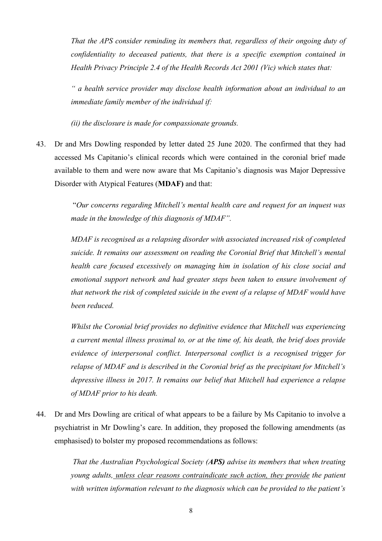*That the APS consider reminding its members that, regardless of their ongoing duty of confidentiality to deceased patients, that there is a specific exemption contained in Health Privacy Principle 2.4 of the Health Records Act 2001 (Vic) which states that:*

*" a health service provider may disclose health information about an individual to an immediate family member of the individual if:*

*(ii) the disclosure is made for compassionate grounds.*

43. Dr and Mrs Dowling responded by letter dated 25 June 2020. The confirmed that they had accessed Ms Capitanio's clinical records which were contained in the coronial brief made available to them and were now aware that Ms Capitanio's diagnosis was Major Depressive Disorder with Atypical Features (**MDAF)** and that:

> "*Our concerns regarding Mitchell's mental health care and request for an inquest was made in the knowledge of this diagnosis of MDAF".*

> *MDAF is recognised as a relapsing disorder with associated increased risk of completed suicide. It remains our assessment on reading the Coronial Brief that Mitchell's mental health care focused excessively on managing him in isolation of his close social and emotional support network and had greater steps been taken to ensure involvement of that network the risk of completed suicide in the event of a relapse of MDAF would have been reduced.*

> *Whilst the Coronial brief provides no definitive evidence that Mitchell was experiencing a current mental illness proximal to, or at the time of, his death, the brief does provide evidence of interpersonal conflict. Interpersonal conflict is a recognised trigger for relapse of MDAF and is described in the Coronial brief as the precipitant for Mitchell's depressive illness in 2017. It remains our belief that Mitchell had experience a relapse of MDAF prior to his death.*

44. Dr and Mrs Dowling are critical of what appears to be a failure by Ms Capitanio to involve a psychiatrist in Mr Dowling's care. In addition, they proposed the following amendments (as emphasised) to bolster my proposed recommendations as follows:

> *That the Australian Psychological Society (APS) advise its members that when treating young adults, unless clear reasons contraindicate such action, they provide the patient with written information relevant to the diagnosis which can be provided to the patient's*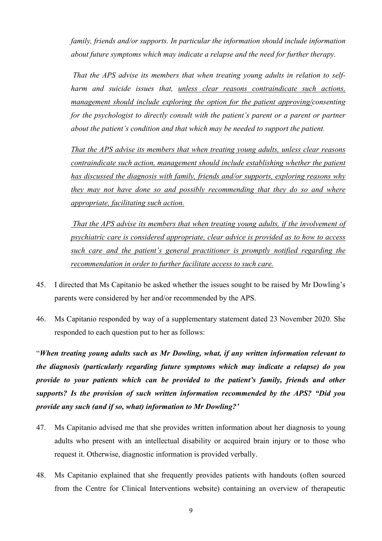*family, friends and/or supports. In particular the information should include information about future symptoms which may indicate a relapse and the need for further therapy.*

*That the APS advise its members that when treating young adults in relation to selfharm and suicide issues that, unless clear reasons contraindicate such actions, management should include exploring the option for the patient approving/consenting for the psychologist to directly consult with the patient's parent or a parent or partner about the patient's condition and that which may be needed to support the patient.*

*That the APS advise its members that when treating young adults, unless clear reasons contraindicate such action, management should include establishing whether the patient has discussed the diagnosis with family, friends and/or supports, exploring reasons why they may not have done so and possibly recommending that they do so and where appropriate, facilitating such action.*

*That the APS advise its members that when treating young adults, if the involvement of psychiatric care is considered appropriate, clear advice is provided as to how to access such care and the patient's general practitioner is promptly notified regarding the recommendation in order to further facilitate access to such care.*

- 45. I directed that Ms Capitanio be asked whether the issues sought to be raised by Mr Dowling's parents were considered by her and/or recommended by the APS.
- 46. Ms Capitanio responded by way of a supplementary statement dated 23 November 2020. She responded to each question put to her as follows:

"*When treating young adults such as Mr Dowling, what, if any written information relevant to the diagnosis (particularly regarding future symptoms which may indicate a relapse) do you provide to your patients which can be provided to the patient's family, friends and other supports? Is the provision of such written information recommended by the APS? "Did you provide any such (and if so, what) information to Mr Dowling?'*

- 47. Ms Capitanio advised me that she provides written information about her diagnosis to young adults who present with an intellectual disability or acquired brain injury or to those who request it. Otherwise, diagnostic information is provided verbally.
- 48. Ms Capitanio explained that she frequently provides patients with handouts (often sourced from the Centre for Clinical Interventions website) containing an overview of therapeutic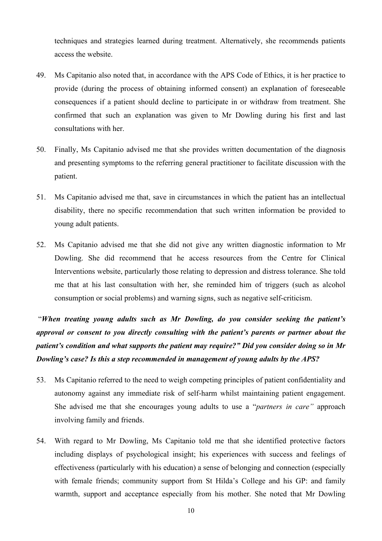techniques and strategies learned during treatment. Alternatively, she recommends patients access the website.

- 49. Ms Capitanio also noted that, in accordance with the APS Code of Ethics, it is her practice to provide (during the process of obtaining informed consent) an explanation of foreseeable consequences if a patient should decline to participate in or withdraw from treatment. She confirmed that such an explanation was given to Mr Dowling during his first and last consultations with her.
- 50. Finally, Ms Capitanio advised me that she provides written documentation of the diagnosis and presenting symptoms to the referring general practitioner to facilitate discussion with the patient.
- 51. Ms Capitanio advised me that, save in circumstances in which the patient has an intellectual disability, there no specific recommendation that such written information be provided to young adult patients.
- 52. Ms Capitanio advised me that she did not give any written diagnostic information to Mr Dowling. She did recommend that he access resources from the Centre for Clinical Interventions website, particularly those relating to depression and distress tolerance. She told me that at his last consultation with her, she reminded him of triggers (such as alcohol consumption or social problems) and warning signs, such as negative self-criticism.

"*When treating young adults such as Mr Dowling, do you consider seeking the patient's approval or consent to you directly consulting with the patient's parents or partner about the patient's condition and what supports the patient may require?" Did you consider doing so in Mr Dowling's case? Is this a step recommended in management of young adults by the APS?*

- 53. Ms Capitanio referred to the need to weigh competing principles of patient confidentiality and autonomy against any immediate risk of self-harm whilst maintaining patient engagement. She advised me that she encourages young adults to use a "*partners in care"* approach involving family and friends.
- 54. With regard to Mr Dowling, Ms Capitanio told me that she identified protective factors including displays of psychological insight; his experiences with success and feelings of effectiveness (particularly with his education) a sense of belonging and connection (especially with female friends; community support from St Hilda's College and his GP: and family warmth, support and acceptance especially from his mother. She noted that Mr Dowling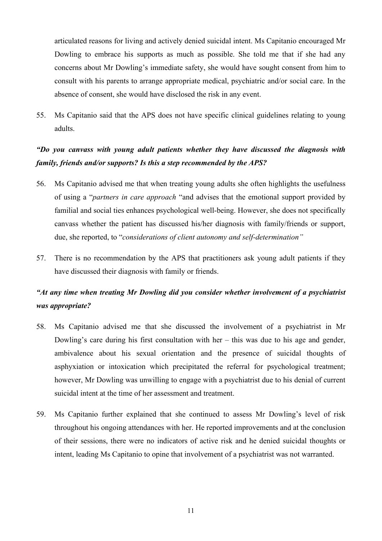articulated reasons for living and actively denied suicidal intent. Ms Capitanio encouraged Mr Dowling to embrace his supports as much as possible. She told me that if she had any concerns about Mr Dowling's immediate safety, she would have sought consent from him to consult with his parents to arrange appropriate medical, psychiatric and/or social care. In the absence of consent, she would have disclosed the risk in any event.

55. Ms Capitanio said that the APS does not have specific clinical guidelines relating to young adults.

## *"Do you canvass with young adult patients whether they have discussed the diagnosis with family, friends and/or supports? Is this a step recommended by the APS?*

- 56. Ms Capitanio advised me that when treating young adults she often highlights the usefulness of using a "*partners in care approach* "and advises that the emotional support provided by familial and social ties enhances psychological well-being. However, she does not specifically canvass whether the patient has discussed his/her diagnosis with family/friends or support, due, she reported, to "*considerations of client autonomy and self-determination"*
- 57. There is no recommendation by the APS that practitioners ask young adult patients if they have discussed their diagnosis with family or friends.

## *"At any time when treating Mr Dowling did you consider whether involvement of a psychiatrist was appropriate?*

- 58. Ms Capitanio advised me that she discussed the involvement of a psychiatrist in Mr Dowling's care during his first consultation with her – this was due to his age and gender, ambivalence about his sexual orientation and the presence of suicidal thoughts of asphyxiation or intoxication which precipitated the referral for psychological treatment; however, Mr Dowling was unwilling to engage with a psychiatrist due to his denial of current suicidal intent at the time of her assessment and treatment.
- 59. Ms Capitanio further explained that she continued to assess Mr Dowling's level of risk throughout his ongoing attendances with her. He reported improvements and at the conclusion of their sessions, there were no indicators of active risk and he denied suicidal thoughts or intent, leading Ms Capitanio to opine that involvement of a psychiatrist was not warranted.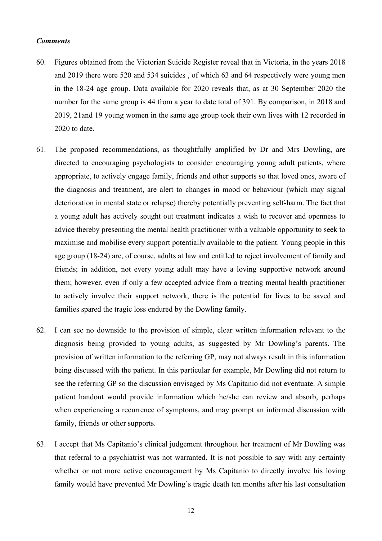#### *Comments*

- 60. Figures obtained from the Victorian Suicide Register reveal that in Victoria, in the years 2018 and 2019 there were 520 and 534 suicides , of which 63 and 64 respectively were young men in the 18-24 age group. Data available for 2020 reveals that, as at 30 September 2020 the number for the same group is 44 from a year to date total of 391. By comparison, in 2018 and 2019, 21and 19 young women in the same age group took their own lives with 12 recorded in 2020 to date.
- 61. The proposed recommendations, as thoughtfully amplified by Dr and Mrs Dowling, are directed to encouraging psychologists to consider encouraging young adult patients, where appropriate, to actively engage family, friends and other supports so that loved ones, aware of the diagnosis and treatment, are alert to changes in mood or behaviour (which may signal deterioration in mental state or relapse) thereby potentially preventing self-harm. The fact that a young adult has actively sought out treatment indicates a wish to recover and openness to advice thereby presenting the mental health practitioner with a valuable opportunity to seek to maximise and mobilise every support potentially available to the patient. Young people in this age group (18-24) are, of course, adults at law and entitled to reject involvement of family and friends; in addition, not every young adult may have a loving supportive network around them; however, even if only a few accepted advice from a treating mental health practitioner to actively involve their support network, there is the potential for lives to be saved and families spared the tragic loss endured by the Dowling family.
- 62. I can see no downside to the provision of simple, clear written information relevant to the diagnosis being provided to young adults, as suggested by Mr Dowling's parents. The provision of written information to the referring GP, may not always result in this information being discussed with the patient. In this particular for example, Mr Dowling did not return to see the referring GP so the discussion envisaged by Ms Capitanio did not eventuate. A simple patient handout would provide information which he/she can review and absorb, perhaps when experiencing a recurrence of symptoms, and may prompt an informed discussion with family, friends or other supports.
- 63. I accept that Ms Capitanio's clinical judgement throughout her treatment of Mr Dowling was that referral to a psychiatrist was not warranted. It is not possible to say with any certainty whether or not more active encouragement by Ms Capitanio to directly involve his loving family would have prevented Mr Dowling's tragic death ten months after his last consultation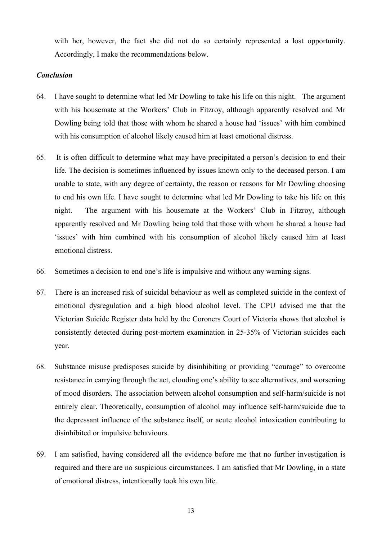with her, however, the fact she did not do so certainly represented a lost opportunity. Accordingly, I make the recommendations below.

### *Conclusion*

- 64. I have sought to determine what led Mr Dowling to take his life on this night. The argument with his housemate at the Workers' Club in Fitzroy, although apparently resolved and Mr Dowling being told that those with whom he shared a house had 'issues' with him combined with his consumption of alcohol likely caused him at least emotional distress.
- 65. It is often difficult to determine what may have precipitated a person's decision to end their life. The decision is sometimes influenced by issues known only to the deceased person. I am unable to state, with any degree of certainty, the reason or reasons for Mr Dowling choosing to end his own life. I have sought to determine what led Mr Dowling to take his life on this night. The argument with his housemate at the Workers' Club in Fitzroy, although apparently resolved and Mr Dowling being told that those with whom he shared a house had 'issues' with him combined with his consumption of alcohol likely caused him at least emotional distress.
- 66. Sometimes a decision to end one's life is impulsive and without any warning signs.
- 67. There is an increased risk of suicidal behaviour as well as completed suicide in the context of emotional dysregulation and a high blood alcohol level. The CPU advised me that the Victorian Suicide Register data held by the Coroners Court of Victoria shows that alcohol is consistently detected during post-mortem examination in 25-35% of Victorian suicides each year.
- 68. Substance misuse predisposes suicide by disinhibiting or providing "courage" to overcome resistance in carrying through the act, clouding one's ability to see alternatives, and worsening of mood disorders. The association between alcohol consumption and self-harm/suicide is not entirely clear. Theoretically, consumption of alcohol may influence self-harm/suicide due to the depressant influence of the substance itself, or acute alcohol intoxication contributing to disinhibited or impulsive behaviours.
- 69. I am satisfied, having considered all the evidence before me that no further investigation is required and there are no suspicious circumstances. I am satisfied that Mr Dowling, in a state of emotional distress, intentionally took his own life.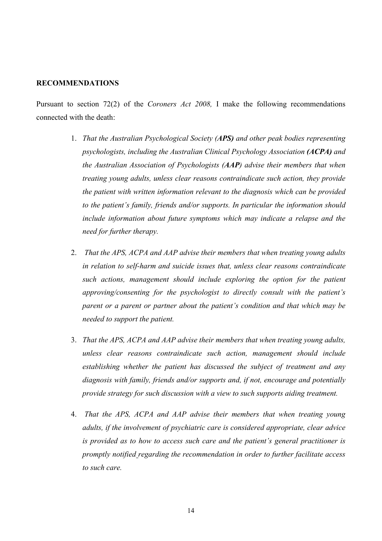#### **RECOMMENDATIONS**

Pursuant to section 72(2) of the *Coroners Act 2008,* I make the following recommendations connected with the death:

- 1. *That the Australian Psychological Society (APS) and other peak bodies representing psychologists, including the Australian Clinical Psychology Association (ACPA) and the Australian Association of Psychologists (AAP) advise their members that when treating young adults, unless clear reasons contraindicate such action, they provide the patient with written information relevant to the diagnosis which can be provided to the patient's family, friends and/or supports. In particular the information should include information about future symptoms which may indicate a relapse and the need for further therapy.*
- 2. *That the APS, ACPA and AAP advise their members that when treating young adults in relation to self-harm and suicide issues that, unless clear reasons contraindicate such actions, management should include exploring the option for the patient approving/consenting for the psychologist to directly consult with the patient's parent or a parent or partner about the patient's condition and that which may be needed to support the patient.*
- 3. *That the APS, ACPA and AAP advise their members that when treating young adults, unless clear reasons contraindicate such action, management should include establishing whether the patient has discussed the subject of treatment and any diagnosis with family, friends and/or supports and, if not, encourage and potentially provide strategy for such discussion with a view to such supports aiding treatment.*
- 4. *That the APS, ACPA and AAP advise their members that when treating young adults, if the involvement of psychiatric care is considered appropriate, clear advice is provided as to how to access such care and the patient's general practitioner is promptly notified regarding the recommendation in order to further facilitate access to such care.*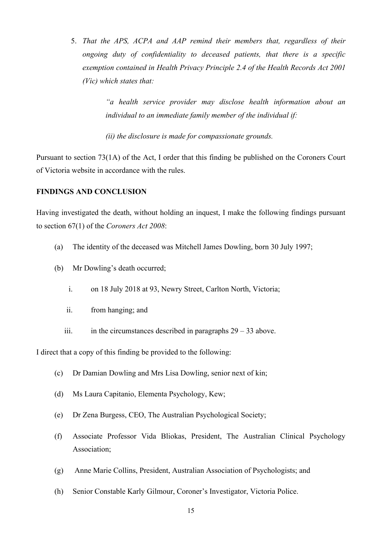5. *That the APS, ACPA and AAP remind their members that, regardless of their ongoing duty of confidentiality to deceased patients, that there is a specific exemption contained in Health Privacy Principle 2.4 of the Health Records Act 2001 (Vic) which states that:*

> *"a health service provider may disclose health information about an individual to an immediate family member of the individual if:*

*(ii) the disclosure is made for compassionate grounds.*

Pursuant to section 73(1A) of the Act, I order that this finding be published on the Coroners Court of Victoria website in accordance with the rules.

#### **FINDINGS AND CONCLUSION**

Having investigated the death, without holding an inquest, I make the following findings pursuant to section 67(1) of the *Coroners Act 2008*:

- (a) The identity of the deceased was Mitchell James Dowling, born 30 July 1997;
- (b) Mr Dowling's death occurred;
	- i. on 18 July 2018 at 93, Newry Street, Carlton North, Victoria;
	- ii. from hanging; and
	- iii. in the circumstances described in paragraphs  $29 33$  above.

I direct that a copy of this finding be provided to the following:

- (c) Dr Damian Dowling and Mrs Lisa Dowling, senior next of kin;
- (d) Ms Laura Capitanio, Elementa Psychology, Kew;
- (e) Dr Zena Burgess, CEO, The Australian Psychological Society;
- (f) Associate Professor Vida Bliokas, President, The Australian Clinical Psychology Association;
- (g) Anne Marie Collins, President, Australian Association of Psychologists; and
- (h) Senior Constable Karly Gilmour, Coroner's Investigator, Victoria Police.